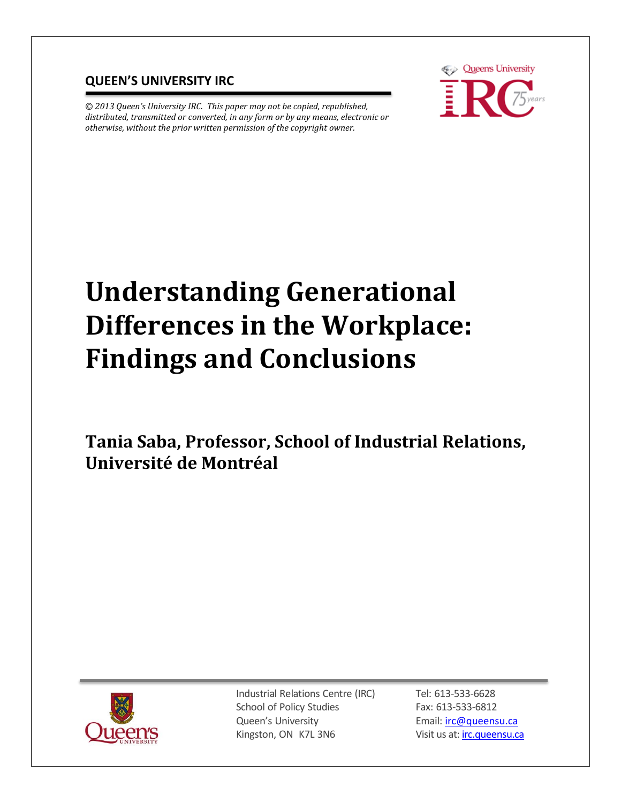## **QUEEN'S UNIVERSITY IRC**

*© 2013 Queen's University IRC. This paper may not be copied, republished, distributed, transmitted or converted, in any form or by any means, electronic or otherwise, without the prior written permission of the copyright owner.*



# **Understanding Generational Differences in the Workplace: Findings and Conclusions**

**Tania Saba, Professor, School of Industrial Relations, Université de Montréal** 



Industrial Relations Centre (IRC) School of Policy Studies Queen's University Kingston, ON K7L 3N6

Tel: 613-533-6628 Fax: 613-533-6812 Email: [irc@queensu.ca](mailto:irc@queensu.ca) Visit us at: *irc.queensu.ca*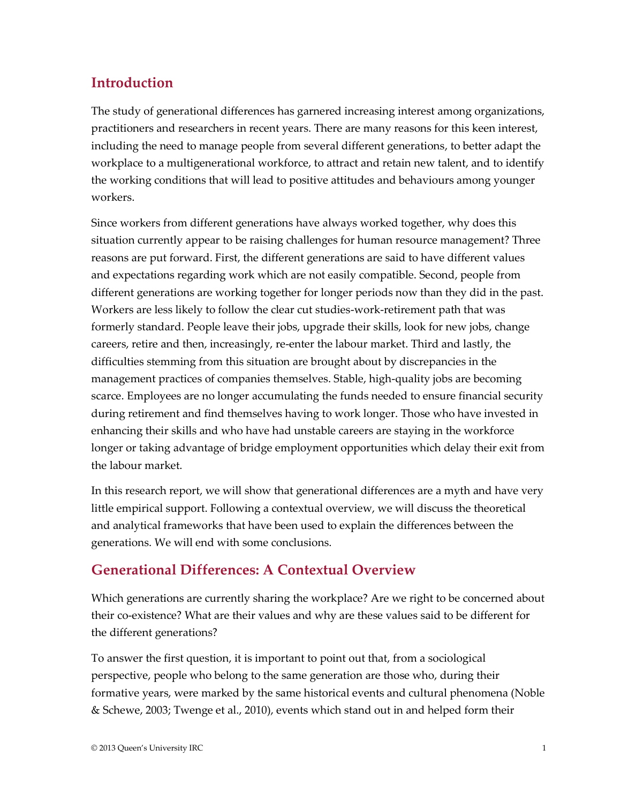## **Introduction**

The study of generational differences has garnered increasing interest among organizations, practitioners and researchers in recent years. There are many reasons for this keen interest, including the need to manage people from several different generations, to better adapt the workplace to a multigenerational workforce, to attract and retain new talent, and to identify the working conditions that will lead to positive attitudes and behaviours among younger workers.

Since workers from different generations have always worked together, why does this situation currently appear to be raising challenges for human resource management? Three reasons are put forward. First, the different generations are said to have different values and expectations regarding work which are not easily compatible. Second, people from different generations are working together for longer periods now than they did in the past. Workers are less likely to follow the clear cut studies-work-retirement path that was formerly standard. People leave their jobs, upgrade their skills, look for new jobs, change careers, retire and then, increasingly, re-enter the labour market. Third and lastly, the difficulties stemming from this situation are brought about by discrepancies in the management practices of companies themselves. Stable, high-quality jobs are becoming scarce. Employees are no longer accumulating the funds needed to ensure financial security during retirement and find themselves having to work longer. Those who have invested in enhancing their skills and who have had unstable careers are staying in the workforce longer or taking advantage of bridge employment opportunities which delay their exit from the labour market.

In this research report, we will show that generational differences are a myth and have very little empirical support. Following a contextual overview, we will discuss the theoretical and analytical frameworks that have been used to explain the differences between the generations. We will end with some conclusions.

## **Generational Differences: A Contextual Overview**

Which generations are currently sharing the workplace? Are we right to be concerned about their co-existence? What are their values and why are these values said to be different for the different generations?

To answer the first question, it is important to point out that, from a sociological perspective, people who belong to the same generation are those who, during their formative years, were marked by the same historical events and cultural phenomena (Noble & Schewe, 2003; Twenge et al., 2010), events which stand out in and helped form their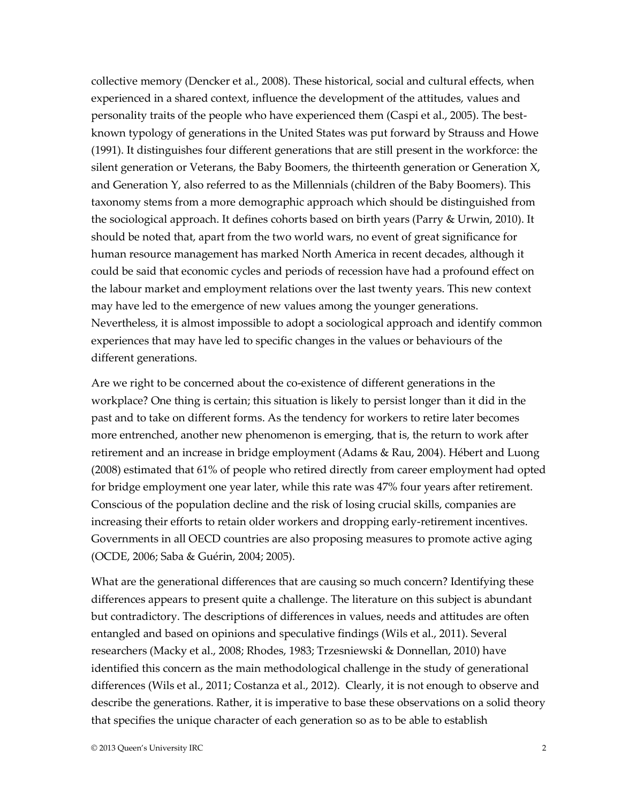collective memory (Dencker et al., 2008). These historical, social and cultural effects, when experienced in a shared context, influence the development of the attitudes, values and personality traits of the people who have experienced them (Caspi et al., 2005). The bestknown typology of generations in the United States was put forward by Strauss and Howe (1991). It distinguishes four different generations that are still present in the workforce: the silent generation or Veterans, the Baby Boomers, the thirteenth generation or Generation X, and Generation Y, also referred to as the Millennials (children of the Baby Boomers). This taxonomy stems from a more demographic approach which should be distinguished from the sociological approach. It defines cohorts based on birth years (Parry & Urwin, 2010). It should be noted that, apart from the two world wars, no event of great significance for human resource management has marked North America in recent decades, although it could be said that economic cycles and periods of recession have had a profound effect on the labour market and employment relations over the last twenty years. This new context may have led to the emergence of new values among the younger generations. Nevertheless, it is almost impossible to adopt a sociological approach and identify common experiences that may have led to specific changes in the values or behaviours of the different generations.

Are we right to be concerned about the co-existence of different generations in the workplace? One thing is certain; this situation is likely to persist longer than it did in the past and to take on different forms. As the tendency for workers to retire later becomes more entrenched, another new phenomenon is emerging, that is, the return to work after retirement and an increase in bridge employment (Adams & Rau, 2004). Hébert and Luong (2008) estimated that 61% of people who retired directly from career employment had opted for bridge employment one year later, while this rate was 47% four years after retirement. Conscious of the population decline and the risk of losing crucial skills, companies are increasing their efforts to retain older workers and dropping early-retirement incentives. Governments in all OECD countries are also proposing measures to promote active aging (OCDE, 2006; Saba & Guérin, 2004; 2005).

What are the generational differences that are causing so much concern? Identifying these differences appears to present quite a challenge. The literature on this subject is abundant but contradictory. The descriptions of differences in values, needs and attitudes are often entangled and based on opinions and speculative findings (Wils et al., 2011). Several researchers (Macky et al., 2008; Rhodes, 1983; Trzesniewski & Donnellan, 2010) have identified this concern as the main methodological challenge in the study of generational differences (Wils et al., 2011; Costanza et al., 2012). Clearly, it is not enough to observe and describe the generations. Rather, it is imperative to base these observations on a solid theory that specifies the unique character of each generation so as to be able to establish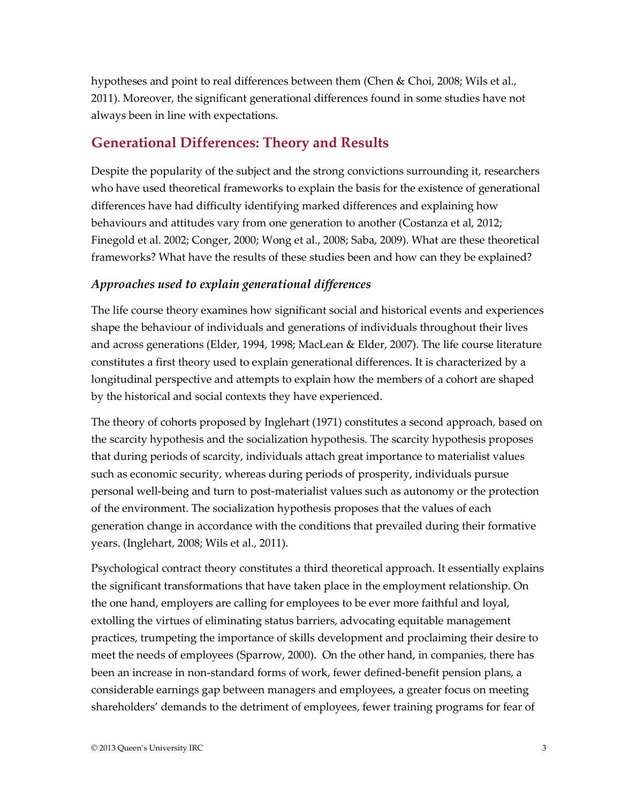hypotheses and point to real differences between them (Chen & Choi, 2008; Wils et al., 2011). Moreover, the significant generational differences found in some studies have not always been in line with expectations.

## **Generational Differences: Theory and Results**

Despite the popularity of the subject and the strong convictions surrounding it, researchers who have used theoretical frameworks to explain the basis for the existence of generational differences have had difficulty identifying marked differences and explaining how behaviours and attitudes vary from one generation to another (Costanza et al, 2012; Finegold et al. 2002; Conger, 2000; Wong et al., 2008; Saba, 2009). What are these theoretical frameworks? What have the results of these studies been and how can they be explained?

### *Approaches used to explain generational differences*

The life course theory examines how significant social and historical events and experiences shape the behaviour of individuals and generations of individuals throughout their lives and across generations (Elder, 1994, 1998; MacLean & Elder, 2007). The life course literature constitutes a first theory used to explain generational differences. It is characterized by a longitudinal perspective and attempts to explain how the members of a cohort are shaped by the historical and social contexts they have experienced.

The theory of cohorts proposed by Inglehart (1971) constitutes a second approach, based on the scarcity hypothesis and the socialization hypothesis. The scarcity hypothesis proposes that during periods of scarcity, individuals attach great importance to materialist values such as economic security, whereas during periods of prosperity, individuals pursue personal well-being and turn to post-materialist values such as autonomy or the protection of the environment. The socialization hypothesis proposes that the values of each generation change in accordance with the conditions that prevailed during their formative years. (Inglehart, 2008; Wils et al., 2011).

Psychological contract theory constitutes a third theoretical approach. It essentially explains the significant transformations that have taken place in the employment relationship. On the one hand, employers are calling for employees to be ever more faithful and loyal, extolling the virtues of eliminating status barriers, advocating equitable management practices, trumpeting the importance of skills development and proclaiming their desire to meet the needs of employees (Sparrow, 2000). On the other hand, in companies, there has been an increase in non-standard forms of work, fewer defined-benefit pension plans, a considerable earnings gap between managers and employees, a greater focus on meeting shareholders' demands to the detriment of employees, fewer training programs for fear of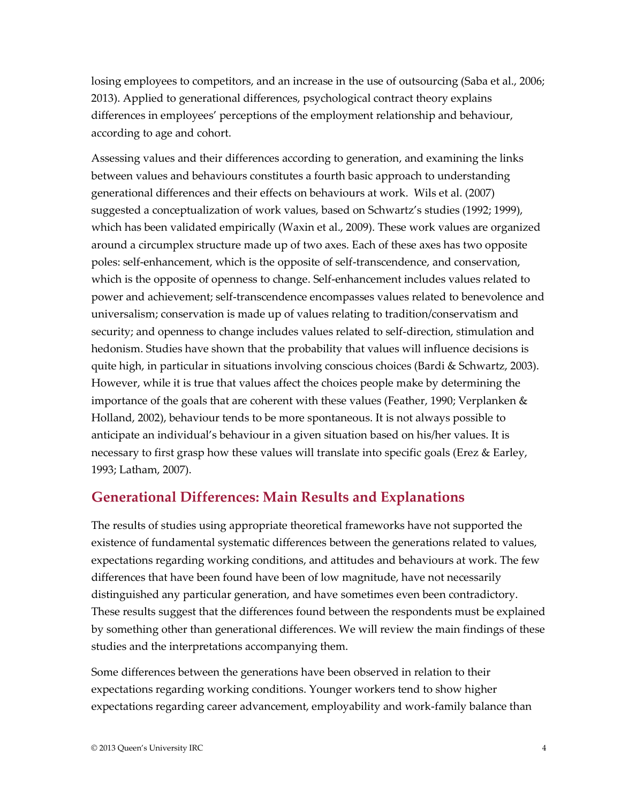losing employees to competitors, and an increase in the use of outsourcing (Saba et al., 2006; 2013). Applied to generational differences, psychological contract theory explains differences in employees' perceptions of the employment relationship and behaviour, according to age and cohort.

Assessing values and their differences according to generation, and examining the links between values and behaviours constitutes a fourth basic approach to understanding generational differences and their effects on behaviours at work. Wils et al. (2007) suggested a conceptualization of work values, based on Schwartz's studies (1992; 1999), which has been validated empirically (Waxin et al., 2009). These work values are organized around a circumplex structure made up of two axes. Each of these axes has two opposite poles: self-enhancement, which is the opposite of self-transcendence, and conservation, which is the opposite of openness to change. Self-enhancement includes values related to power and achievement; self-transcendence encompasses values related to benevolence and universalism; conservation is made up of values relating to tradition/conservatism and security; and openness to change includes values related to self-direction, stimulation and hedonism. Studies have shown that the probability that values will influence decisions is quite high, in particular in situations involving conscious choices (Bardi & Schwartz, 2003). However, while it is true that values affect the choices people make by determining the importance of the goals that are coherent with these values (Feather, 1990; Verplanken & Holland, 2002), behaviour tends to be more spontaneous. It is not always possible to anticipate an individual's behaviour in a given situation based on his/her values. It is necessary to first grasp how these values will translate into specific goals (Erez & Earley, 1993; Latham, 2007).

## **Generational Differences: Main Results and Explanations**

The results of studies using appropriate theoretical frameworks have not supported the existence of fundamental systematic differences between the generations related to values, expectations regarding working conditions, and attitudes and behaviours at work. The few differences that have been found have been of low magnitude, have not necessarily distinguished any particular generation, and have sometimes even been contradictory. These results suggest that the differences found between the respondents must be explained by something other than generational differences. We will review the main findings of these studies and the interpretations accompanying them.

Some differences between the generations have been observed in relation to their expectations regarding working conditions. Younger workers tend to show higher expectations regarding career advancement, employability and work-family balance than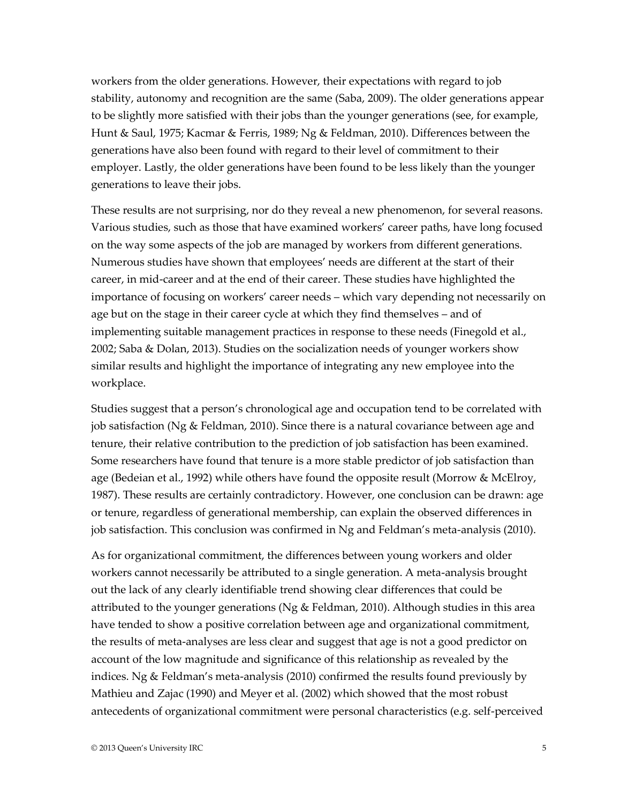workers from the older generations. However, their expectations with regard to job stability, autonomy and recognition are the same (Saba, 2009). The older generations appear to be slightly more satisfied with their jobs than the younger generations (see, for example, Hunt & Saul, 1975; Kacmar & Ferris, 1989; Ng & Feldman, 2010). Differences between the generations have also been found with regard to their level of commitment to their employer. Lastly, the older generations have been found to be less likely than the younger generations to leave their jobs.

These results are not surprising, nor do they reveal a new phenomenon, for several reasons. Various studies, such as those that have examined workers' career paths, have long focused on the way some aspects of the job are managed by workers from different generations. Numerous studies have shown that employees' needs are different at the start of their career, in mid-career and at the end of their career. These studies have highlighted the importance of focusing on workers' career needs – which vary depending not necessarily on age but on the stage in their career cycle at which they find themselves – and of implementing suitable management practices in response to these needs (Finegold et al., 2002; Saba & Dolan, 2013). Studies on the socialization needs of younger workers show similar results and highlight the importance of integrating any new employee into the workplace.

Studies suggest that a person's chronological age and occupation tend to be correlated with job satisfaction (Ng & Feldman, 2010). Since there is a natural covariance between age and tenure, their relative contribution to the prediction of job satisfaction has been examined. Some researchers have found that tenure is a more stable predictor of job satisfaction than age (Bedeian et al., 1992) while others have found the opposite result (Morrow & McElroy, 1987). These results are certainly contradictory. However, one conclusion can be drawn: age or tenure, regardless of generational membership, can explain the observed differences in job satisfaction. This conclusion was confirmed in Ng and Feldman's meta-analysis (2010).

As for organizational commitment, the differences between young workers and older workers cannot necessarily be attributed to a single generation. A meta-analysis brought out the lack of any clearly identifiable trend showing clear differences that could be attributed to the younger generations (Ng & Feldman, 2010). Although studies in this area have tended to show a positive correlation between age and organizational commitment, the results of meta-analyses are less clear and suggest that age is not a good predictor on account of the low magnitude and significance of this relationship as revealed by the indices. Ng & Feldman's meta-analysis (2010) confirmed the results found previously by Mathieu and Zajac (1990) and Meyer et al. (2002) which showed that the most robust antecedents of organizational commitment were personal characteristics (e.g. self-perceived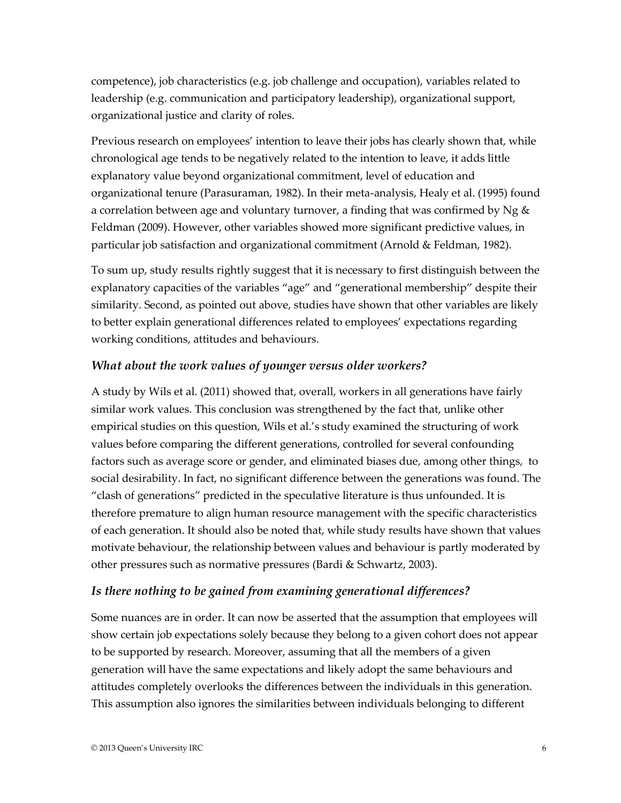competence), job characteristics (e.g. job challenge and occupation), variables related to leadership (e.g. communication and participatory leadership), organizational support, organizational justice and clarity of roles.

Previous research on employees' intention to leave their jobs has clearly shown that, while chronological age tends to be negatively related to the intention to leave, it adds little explanatory value beyond organizational commitment, level of education and organizational tenure (Parasuraman, 1982). In their meta-analysis, Healy et al. (1995) found a correlation between age and voluntary turnover, a finding that was confirmed by Ng  $\&$ Feldman (2009). However, other variables showed more significant predictive values, in particular job satisfaction and organizational commitment (Arnold & Feldman, 1982).

To sum up, study results rightly suggest that it is necessary to first distinguish between the explanatory capacities of the variables "age" and "generational membership" despite their similarity. Second, as pointed out above, studies have shown that other variables are likely to better explain generational differences related to employees' expectations regarding working conditions, attitudes and behaviours.

#### *What about the work values of younger versus older workers?*

A study by Wils et al. (2011) showed that, overall, workers in all generations have fairly similar work values. This conclusion was strengthened by the fact that, unlike other empirical studies on this question, Wils et al.'s study examined the structuring of work values before comparing the different generations, controlled for several confounding factors such as average score or gender, and eliminated biases due, among other things, to social desirability. In fact, no significant difference between the generations was found. The "clash of generations" predicted in the speculative literature is thus unfounded. It is therefore premature to align human resource management with the specific characteristics of each generation. It should also be noted that, while study results have shown that values motivate behaviour, the relationship between values and behaviour is partly moderated by other pressures such as normative pressures (Bardi & Schwartz, 2003).

#### *Is there nothing to be gained from examining generational differences?*

Some nuances are in order. It can now be asserted that the assumption that employees will show certain job expectations solely because they belong to a given cohort does not appear to be supported by research. Moreover, assuming that all the members of a given generation will have the same expectations and likely adopt the same behaviours and attitudes completely overlooks the differences between the individuals in this generation. This assumption also ignores the similarities between individuals belonging to different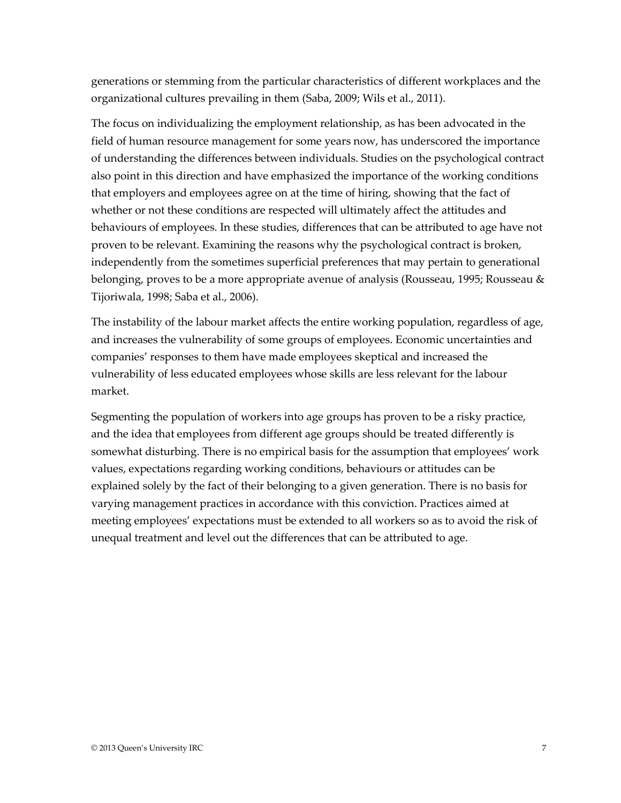generations or stemming from the particular characteristics of different workplaces and the organizational cultures prevailing in them (Saba, 2009; Wils et al., 2011).

The focus on individualizing the employment relationship, as has been advocated in the field of human resource management for some years now, has underscored the importance of understanding the differences between individuals. Studies on the psychological contract also point in this direction and have emphasized the importance of the working conditions that employers and employees agree on at the time of hiring, showing that the fact of whether or not these conditions are respected will ultimately affect the attitudes and behaviours of employees. In these studies, differences that can be attributed to age have not proven to be relevant. Examining the reasons why the psychological contract is broken, independently from the sometimes superficial preferences that may pertain to generational belonging, proves to be a more appropriate avenue of analysis (Rousseau, 1995; Rousseau & Tijoriwala, 1998; Saba et al., 2006).

The instability of the labour market affects the entire working population, regardless of age, and increases the vulnerability of some groups of employees. Economic uncertainties and companies' responses to them have made employees skeptical and increased the vulnerability of less educated employees whose skills are less relevant for the labour market.

Segmenting the population of workers into age groups has proven to be a risky practice, and the idea that employees from different age groups should be treated differently is somewhat disturbing. There is no empirical basis for the assumption that employees' work values, expectations regarding working conditions, behaviours or attitudes can be explained solely by the fact of their belonging to a given generation. There is no basis for varying management practices in accordance with this conviction. Practices aimed at meeting employees' expectations must be extended to all workers so as to avoid the risk of unequal treatment and level out the differences that can be attributed to age.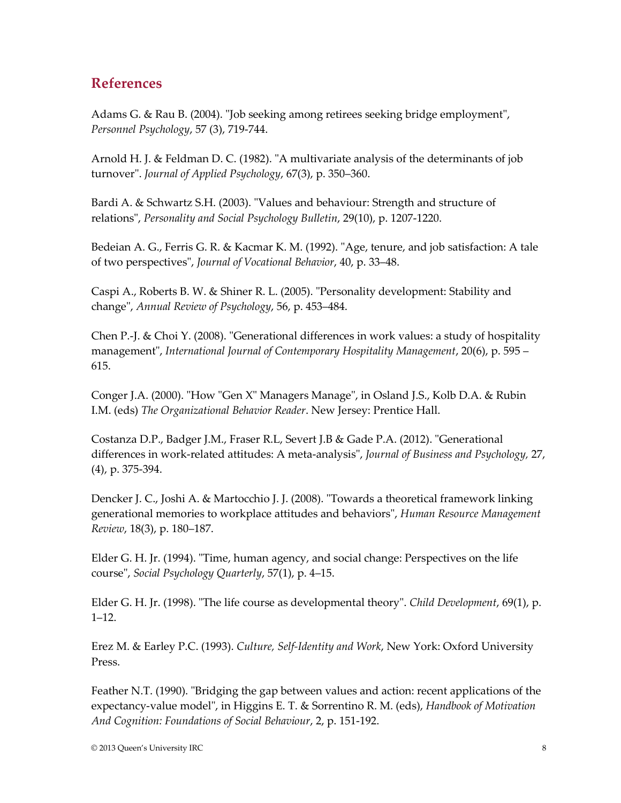## **References**

Adams G. & Rau B. (2004). "Job seeking among retirees seeking bridge employment", *Personnel Psychology*, 57 (3), 719-744.

Arnold H. J. & Feldman D. C. (1982). "A multivariate analysis of the determinants of job turnover". *Journal of Applied Psychology*, 67(3), p. 350–360.

Bardi A. & Schwartz S.H. (2003). "Values and behaviour: Strength and structure of relations", *Personality and Social Psychology Bulletin*, 29(10), p. 1207-1220.

Bedeian A. G., Ferris G. R. & Kacmar K. M. (1992). "Age, tenure, and job satisfaction: A tale of two perspectives", *Journal of Vocational Behavior*, 40, p. 33–48.

Caspi A., Roberts B. W. & Shiner R. L. (2005). "Personality development: Stability and change", *Annual Review of Psychology*, 56, p. 453–484.

Chen P.-J. & Choi Y. (2008). "Generational differences in work values: a study of hospitality management", *International Journal of Contemporary Hospitality Management*, 20(6), p. 595 – 615.

Conger J.A. (2000). "How "Gen X" Managers Manage", in Osland J.S., Kolb D.A. & Rubin I.M. (eds) *The Organizational Behavior Reader*. New Jersey: Prentice Hall.

Costanza D.P., Badger J.M., Fraser R.L, Severt J.B & Gade P.A. (2012). "Generational differences in work-related attitudes: A meta-analysis", *Journal of Business and Psychology,* 27, (4), p. 375-394.

Dencker J. C., Joshi A. & Martocchio J. J. (2008). "Towards a theoretical framework linking generational memories to workplace attitudes and behaviors", *Human Resource Management Review*, 18(3), p. 180–187.

Elder G. H. Jr. (1994). "Time, human agency, and social change: Perspectives on the life course", *Social Psychology Quarterly*, 57(1), p. 4–15.

Elder G. H. Jr. (1998). "The life course as developmental theory". *Child Development*, 69(1), p. 1–12.

Erez M. & Earley P.C. (1993). *Culture, Self-Identity and Work*, New York: Oxford University Press.

Feather N.T. (1990). "Bridging the gap between values and action: recent applications of the expectancy-value model", in Higgins E. T. & Sorrentino R. M. (eds), *Handbook of Motivation And Cognition: Foundations of Social Behaviour*, 2, p. 151-192.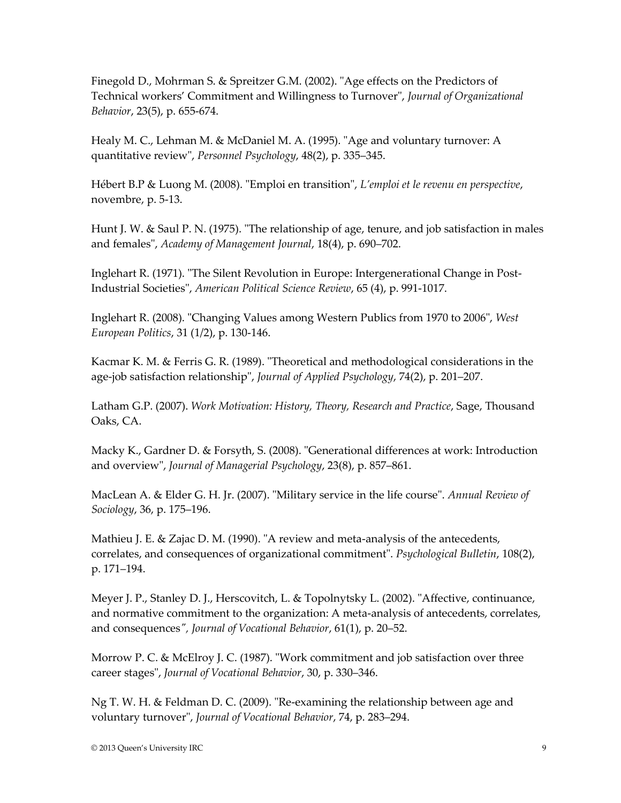Finegold D., Mohrman S. & Spreitzer G.M. (2002). "Age effects on the Predictors of Technical workers' Commitment and Willingness to Turnover", *Journal of Organizational Behavior*, 23(5), p. 655-674.

Healy M. C., Lehman M. & McDaniel M. A. (1995). "Age and voluntary turnover: A quantitative review", *Personnel Psychology*, 48(2), p. 335–345.

Hébert B.P & Luong M. (2008). "Emploi en transition", *L'emploi et le revenu en perspective*, novembre, p. 5-13.

Hunt J. W. & Saul P. N. (1975). "The relationship of age, tenure, and job satisfaction in males and females", *Academy of Management Journal*, 18(4), p. 690–702.

Inglehart R. (1971). "The Silent Revolution in Europe: Intergenerational Change in Post-Industrial Societies", *American Political Science Review*, 65 (4), p. 991-1017.

Inglehart R. (2008). "Changing Values among Western Publics from 1970 to 2006", *West European Politics*, 31 (1/2), p. 130-146.

Kacmar K. M. & Ferris G. R. (1989). "Theoretical and methodological considerations in the age-job satisfaction relationship", *Journal of Applied Psychology*, 74(2), p. 201–207.

Latham G.P. (2007). *Work Motivation: History, Theory, Research and Practice*, Sage, Thousand Oaks, CA.

Macky K., Gardner D. & Forsyth, S. (2008). "Generational differences at work: Introduction and overview", *Journal of Managerial Psychology*, 23(8), p. 857–861.

MacLean A. & Elder G. H. Jr. (2007). "Military service in the life course". *Annual Review of Sociology*, 36, p. 175–196.

Mathieu J. E. & Zajac D. M. (1990). "A review and meta-analysis of the antecedents, correlates, and consequences of organizational commitment". *Psychological Bulletin*, 108(2), p. 171–194.

Meyer J. P., Stanley D. J., Herscovitch, L. & Topolnytsky L. (2002). "Affective, continuance, and normative commitment to the organization: A meta-analysis of antecedents, correlates, and consequences*", Journal of Vocational Behavior*, 61(1), p. 20–52.

Morrow P. C. & McElroy J. C. (1987). "Work commitment and job satisfaction over three career stages", *Journal of Vocational Behavior*, 30, p. 330–346.

Ng T. W. H. & Feldman D. C. (2009). "Re-examining the relationship between age and voluntary turnover", *Journal of Vocational Behavior*, 74, p. 283–294.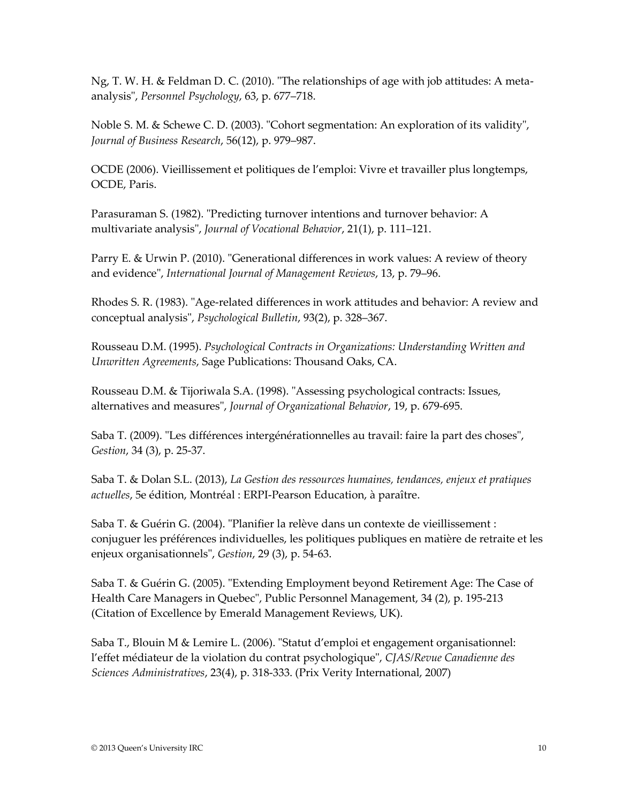Ng, T. W. H. & Feldman D. C. (2010). "The relationships of age with job attitudes: A metaanalysis", *Personnel Psychology*, 63, p. 677–718.

Noble S. M. & Schewe C. D. (2003). "Cohort segmentation: An exploration of its validity", *Journal of Business Research*, 56(12), p. 979–987.

OCDE (2006). Vieillissement et politiques de l'emploi: Vivre et travailler plus longtemps, OCDE, Paris.

Parasuraman S. (1982). "Predicting turnover intentions and turnover behavior: A multivariate analysis", *Journal of Vocational Behavior*, 21(1), p. 111–121.

Parry E. & Urwin P. (2010). "Generational differences in work values: A review of theory and evidence", *International Journal of Management Reviews*, 13, p. 79–96.

Rhodes S. R. (1983). "Age-related differences in work attitudes and behavior: A review and conceptual analysis", *Psychological Bulletin*, 93(2), p. 328–367.

Rousseau D.M. (1995). *Psychological Contracts in Organizations: Understanding Written and Unwritten Agreements*, Sage Publications: Thousand Oaks, CA.

Rousseau D.M. & Tijoriwala S.A. (1998). "Assessing psychological contracts: Issues, alternatives and measures", *Journal of Organizational Behavior*, 19, p. 679-695.

Saba T. (2009). "Les différences intergénérationnelles au travail: faire la part des choses", *Gestion*, 34 (3), p. 25-37.

Saba T. & Dolan S.L. (2013), *La Gestion des ressources humaines, tendances, enjeux et pratiques actuelles*, 5e édition, Montréal : ERPI-Pearson Education, à paraître.

Saba T. & Guérin G. (2004). "Planifier la relève dans un contexte de vieillissement : conjuguer les préférences individuelles, les politiques publiques en matière de retraite et les enjeux organisationnels", *Gestion*, 29 (3), p. 54-63.

Saba T. & Guérin G. (2005). "Extending Employment beyond Retirement Age: The Case of Health Care Managers in Quebec", Public Personnel Management, 34 (2), p. 195-213 (Citation of Excellence by Emerald Management Reviews, UK).

Saba T., Blouin M & Lemire L. (2006). "Statut d'emploi et engagement organisationnel: l'effet médiateur de la violation du contrat psychologique", *CJAS/Revue Canadienne des Sciences Administratives*, 23(4), p. 318-333. (Prix Verity International, 2007)